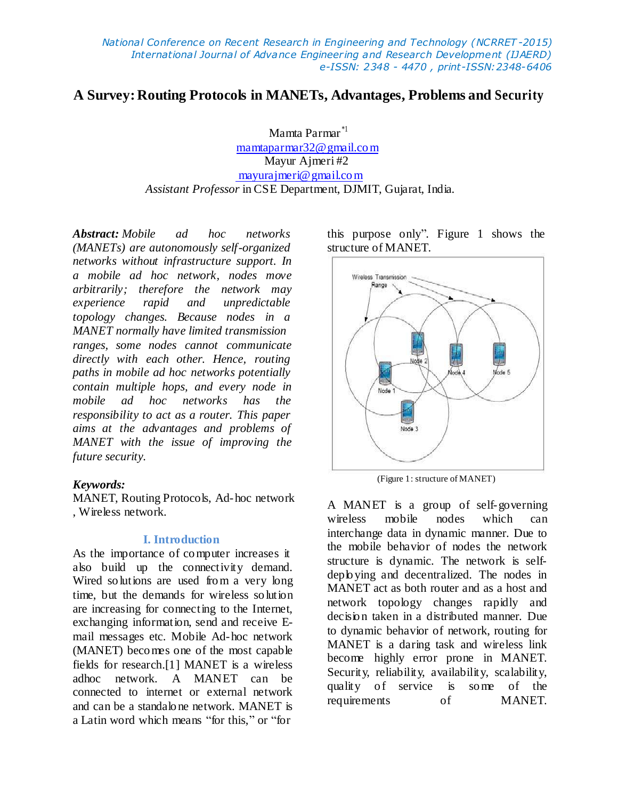# **A Survey:Routing Protocols in MANETs, Advantages, Problems and Security**

Mamta Parmar \*1 mamtaparmar32@gmail.com Mayur Ajmeri #2 [mayurajmeri@gmail.com](mailto:mayurajmeri@gmail.com) *Assistant Professor* in CSE Department, DJMIT, Gujarat, India.

*Abstract: Mobile ad hoc networks (MANETs) are autonomously self-organized networks without infrastructure support. In a mobile ad hoc network, nodes move arbitrarily; therefore the network may experience rapid and unpredictable topology changes. Because nodes in a MANET normally have limited transmission ranges, some nodes cannot communicate directly with each other. Hence, routing paths in mobile ad hoc networks potentially contain multiple hops, and every node in mobile ad hoc networks has the responsibility to act as a router. This paper aims at the advantages and problems of MANET with the issue of improving the future security.*

#### *Keywords:*

MANET, Routing Protocols, Ad-hoc network , Wireless network.

#### **I. Introduction**

As the importance of computer increases it also build up the connectivity demand. Wired so lutions are used from a very long time, but the demands for wireless so lution are increasing for connecting to the Internet, exchanging information, send and receive Email messages etc. Mobile Ad-hoc network (MANET) becomes one of the most capable fields for research.[1] MANET is a wireless adhoc network. A MANET can be connected to internet or external network and can be a standalo ne network. MANET is a Latin word which means "for this," or "for

this purpose only". Figure 1 shows the structure of MANET.



(Figure 1: structure of MANET)

A MANET is a group of self-governing wireless mobile nodes which can interchange data in dynamic manner. Due to the mobile behavior of nodes the network structure is dynamic. The network is selfdeploying and decentralized. The nodes in MANET act as both router and as a host and network topology changes rapidly and decision taken in a distributed manner. Due to dynamic behavior of network, routing for MANET is a daring task and wireless link become highly error prone in MANET. Security, reliability, availability, scalability, quality of service is some of the requirements of MANET.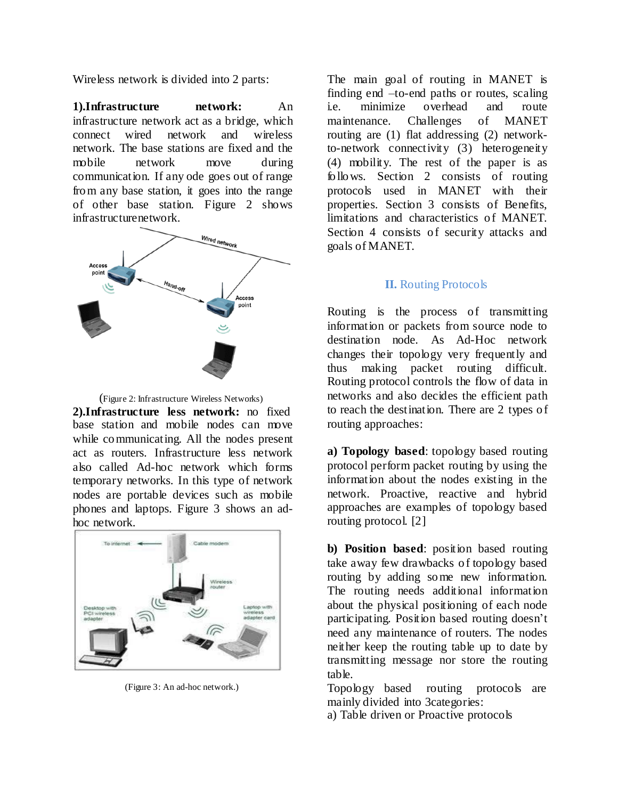Wireless network is divided into 2 parts:

**1).Infrastructure network:** An infrastructure network act as a bridge, which connect wired network and wireless network. The base stations are fixed and the mobile network move during communication. If any ode goes out of range from any base station, it goes into the range of other base station. Figure 2 shows infrastructurenetwork.



(Figure 2: Infrastructure Wireless Networks)

**2).Infrastructure less network:** no fixed base station and mobile nodes can move while communicating. All the nodes present act as routers. Infrastructure less network also called Ad-hoc network which forms temporary networks. In this type of network nodes are portable devices such as mobile phones and laptops. Figure 3 shows an adhoc network.



(Figure 3: An ad-hoc network.)

The main goal of routing in MANET is finding end –to-end paths or routes, scaling i.e. minimize overhead and route maintenance. Challenges of MANET routing are (1) flat addressing (2) networkto-network connectivity (3) heterogeneity (4) mobility. The rest of the paper is as follows. Section 2 consists of routing protocols used in MANET with their properties. Section 3 consists of Benefits, limitations and characteristics of MANET. Section 4 consists of security attacks and goals of MANET.

#### **II.** Routing Protocols

Routing is the process of transmitting information or packets from source node to destination node. As Ad-Hoc network changes their topology very frequently and thus making packet routing difficult. Routing protocol controls the flow of data in networks and also decides the efficient path to reach the destination. There are 2 types of routing approaches:

**a) Topology based**: topology based routing protocol perform packet routing by using the information about the nodes existing in the network. Proactive, reactive and hybrid approaches are examples of topology based routing protocol. [2]

**b) Position based**: position based routing take away few drawbacks of topology based routing by adding some new information. The routing needs additional information about the physical positioning of each node participating. Position based routing doesn't need any maintenance of routers. The nodes neither keep the routing table up to date by transmitting message nor store the routing table.

Topology based routing protocols are mainly divided into 3categories:

a) Table driven or Proactive protocols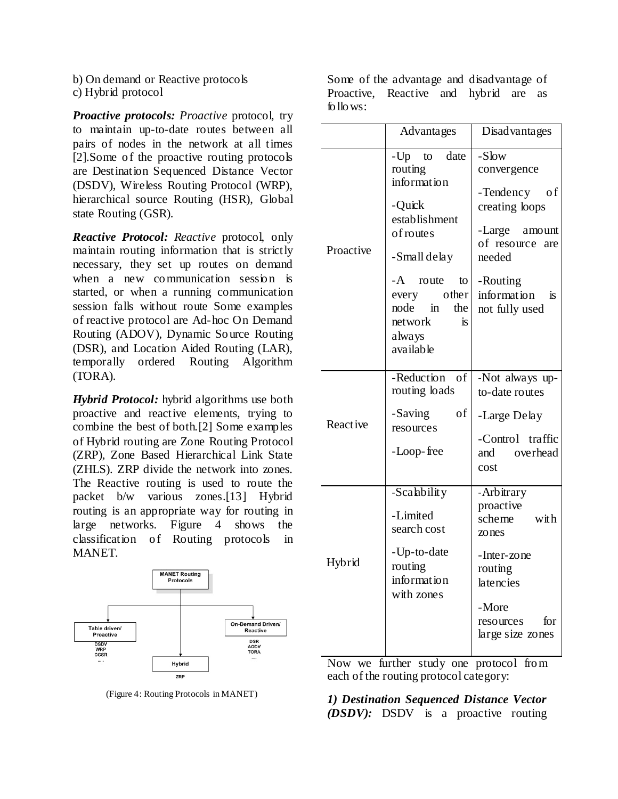b) On demand or Reactive protocols c) Hybrid protocol

*Proactive protocols: Proactive* protocol, try to maintain up-to-date routes between all pairs of nodes in the network at all times [2].Some of the proactive routing protocols are Destination Sequenced Distance Vector (DSDV), Wireless Routing Protocol (WRP), hierarchical source Routing (HSR), Global state Routing (GSR).

*Reactive Protocol: Reactive* protocol, only maintain routing information that is strictly necessary, they set up routes on demand when a new communication session is started, or when a running communication session falls without route Some examples of reactive protocol are Ad-hoc On Demand Routing (ADOV), Dynamic Source Routing (DSR), and Location Aided Routing (LAR), temporally ordered Routing Algorithm (TORA).

*Hybrid Protocol:* hybrid algorithms use both proactive and reactive elements, trying to combine the best of both.[2] Some examples of Hybrid routing are Zone Routing Protocol (ZRP), Zone Based Hierarchical Link State (ZHLS). ZRP divide the network into zones. The Reactive routing is used to route the packet b/w various zones.[13] Hybrid routing is an appropriate way for routing in large networks. Figure 4 shows the classification of Routing protocols in MANET.



(Figure 4: Routing Protocols in MANET)

Some of the advantage and disadvantage of Proactive, Reactive and hybrid are as follows:

|           | Advantages                                                                                                                                                                                           | Disad vantages                                                                                                                                                            |
|-----------|------------------------------------------------------------------------------------------------------------------------------------------------------------------------------------------------------|---------------------------------------------------------------------------------------------------------------------------------------------------------------------------|
| Proactive | $-Up$ to<br>date<br>routing<br>information<br>-Quick<br>establishment<br>of routes<br>-Small delay<br>-A route<br>to<br>other<br>every<br>node<br>the<br>in<br>network<br>is.<br>always<br>available | -Slow<br>convergence<br>-Tendency<br>o f<br>creating loops<br>-Large amount<br>of resource<br>are<br>needed<br>-Routing<br>information<br><sup>is</sup><br>not fully used |
| Reactive  | -Reduction<br>- of<br>routing loads<br>-Saving<br>οf<br>resources<br>-Loop-free                                                                                                                      | -Not always up-<br>to-date routes<br>-Large Delay<br>-Control traffic<br>overhead<br>and<br>cost                                                                          |
| Hybrid    | -Scalability<br>-Limited<br>search cost<br>-Up-to-date<br>routing<br>information<br>with zones                                                                                                       | -Arbitrary<br>proactive<br>scheme<br>with<br>zones<br>-Inter-zone<br>routing<br>latencies<br>-More<br>for<br>resources<br>large size zones                                |

Now we further study one protocol from each of the routing protocol category:

*1) Destination Sequenced Distance Vector (DSDV):* DSDV is a proactive routing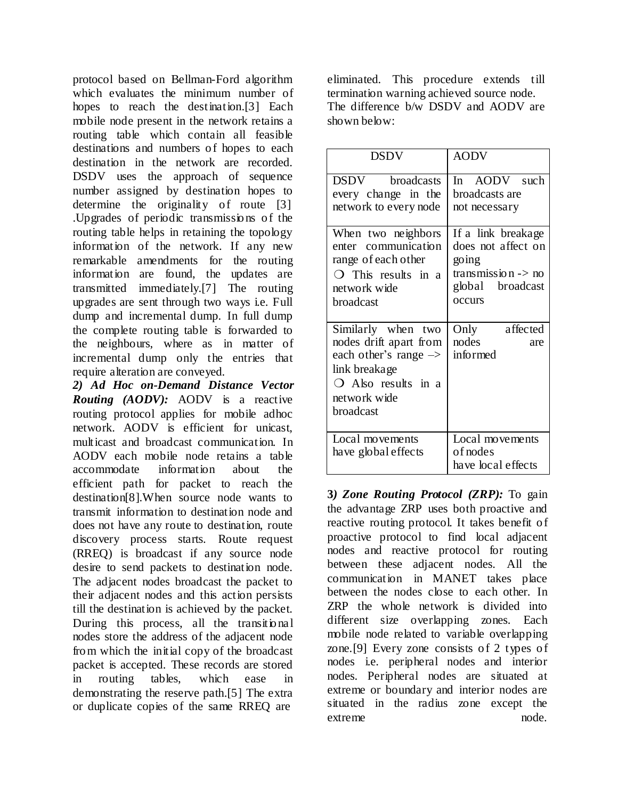protocol based on Bellman-Ford algorithm which evaluates the minimum number of hopes to reach the destination.[3] Each mobile node present in the network retains a routing table which contain all feasible destinations and numbers of hopes to each destination in the network are recorded. DSDV uses the approach of sequence number assigned by destination hopes to determine the originality of route [3] .Upgrades of periodic transmissio ns of the routing table helps in retaining the topology information of the network. If any new remarkable amendments for the routing information are found, the updates are transmitted immediately.[7] The routing upgrades are sent through two ways i.e. Full dump and incremental dump. In full dump the complete routing table is forwarded to the neighbours, where as in matter of incremental dump only the entries that require alteration are conveyed.

*2) Ad Hoc on-Demand Distance Vector Routing (AODV):* AODV is a reactive routing protocol applies for mobile adhoc network. AODV is efficient for unicast, multicast and broadcast communication. In AODV each mobile node retains a table accommodate information about the efficient path for packet to reach the destination[8].When source node wants to transmit information to destination node and does not have any route to destination, route discovery process starts. Route request (RREQ) is broadcast if any source node desire to send packets to destination node. The adjacent nodes broadcast the packet to their adjacent nodes and this action persists till the destination is achieved by the packet. During this process, all the transitional nodes store the address of the adjacent node from which the initial copy of the broadcast packet is accepted. These records are stored in routing tables, which ease in demonstrating the reserve path.[5] The extra or duplicate copies of the same RREQ are

eliminated. This procedure extends till termination warning achieved source node. The difference b/w DSDV and AODV are shown below $\cdot$ 

| <b>DSDV</b>                                                                                                                                                    | <b>AODV</b>                                                                                                      |  |
|----------------------------------------------------------------------------------------------------------------------------------------------------------------|------------------------------------------------------------------------------------------------------------------|--|
| DSDV broadcasts<br>every change in the<br>network to every node                                                                                                | In AODV such<br>broadcasts are<br>not necessary                                                                  |  |
| When two neighbors<br>enter communication<br>range of each other<br>$\bigcirc$ This results in a<br>network wide<br>broadcast                                  | If a link breakage<br>does not affect on<br>going<br>transmission $\rightarrow$ no<br>global broadcast<br>occurs |  |
| Similarly when two<br>nodes drift apart from<br>each other's range $\rightarrow$<br>link breakage<br>$\bigcirc$ Also results in a<br>network wide<br>broadcast | affected<br>Only<br>nodes<br>are<br>informed                                                                     |  |
| Local movements<br>have global effects                                                                                                                         | Local movements<br>of nodes<br>have local effects                                                                |  |

**3***) Zone Routing Protocol (ZRP):* To gain the advantage ZRP uses both proactive and reactive routing protocol. It takes benefit of proactive protocol to find local adjacent nodes and reactive protocol for routing between these adjacent nodes. All the communication in MANET takes place between the nodes close to each other. In ZRP the whole network is divided into different size overlapping zones. Each mobile node related to variable overlapping zone.[9] Every zone consists of 2 types of nodes i.e. peripheral nodes and interior nodes. Peripheral nodes are situated at extreme or boundary and interior nodes are situated in the radius zone except the extreme node.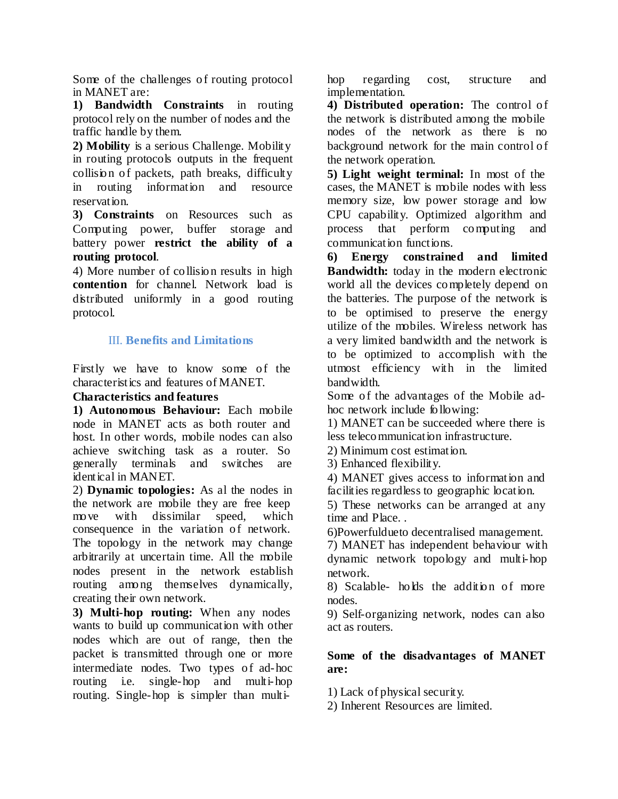Some of the challenges of routing protocol in MANET are:

**1) Bandwidth Constraints** in routing protocol rely on the number of nodes and the traffic handle by them.

**2) Mobility** is a serious Challenge. Mobility in routing protocols outputs in the frequent collision of packets, path breaks, difficulty in routing information and resource reservation.

**3) Constraints** on Resources such as Computing power, buffer storage and battery power **restrict the ability of a routing protocol**.

4) More number of collision results in high **contention** for channel. Network load is distributed uniformly in a good routing protocol.

# III. **Benefits and Limitations**

Firstly we have to know some of the characteristics and features of MANET.

### **Characteristics and features**

**1) Autonomous Behaviour:** Each mobile node in MANET acts as both router and host. In other words, mobile nodes can also achieve switching task as a router. So generally terminals and switches are identical in MANET.

2) **Dynamic topologies:** As al the nodes in the network are mobile they are free keep move with dissimilar speed, which consequence in the variation of network. The topology in the network may change arbitrarily at uncertain time. All the mobile nodes present in the network establish routing among themselves dynamically, creating their own network.

**3) Multi-hop routing:** When any nodes wants to build up communication with other nodes which are out of range, then the packet is transmitted through one or more intermediate nodes. Two types of ad-hoc routing i.e. single-hop and multi-hop routing. Single-hop is simpler than multihop regarding cost, structure and implementation.

**4) Distributed operation:** The control of the network is distributed among the mobile nodes of the network as there is no background network for the main control of the network operation.

**5) Light weight terminal:** In most of the cases, the MANET is mobile nodes with less memory size, low power storage and low CPU capability. Optimized algorithm and process that perform computing and communication functions.

**6) Energy constrained and limited Bandwidth:** today in the modern electronic world all the devices completely depend on the batteries. The purpose of the network is to be optimised to preserve the energy utilize of the mobiles. Wireless network has a very limited bandwidth and the network is to be optimized to accomplish with the utmost efficiency with in the limited bandwidth.

Some of the advantages of the Mobile adhoc network include following:

1) MANET can be succeeded where there is less telecommunication infrastructure.

2) Minimum cost estimation.

3) Enhanced flexibility.

4) MANET gives access to information and facilities regardless to geographic location.

5) These networks can be arranged at any time and Place. .

6)Powerfuldueto decentralised management.

7) MANET has independent behaviour with dynamic network topology and multi-hop network.

8) Scalable- holds the addition of more nodes.

9) Self-organizing network, nodes can also act as routers.

### **Some of the disadvantages of MANET are:**

1) Lack of physical security.

2) Inherent Resources are limited.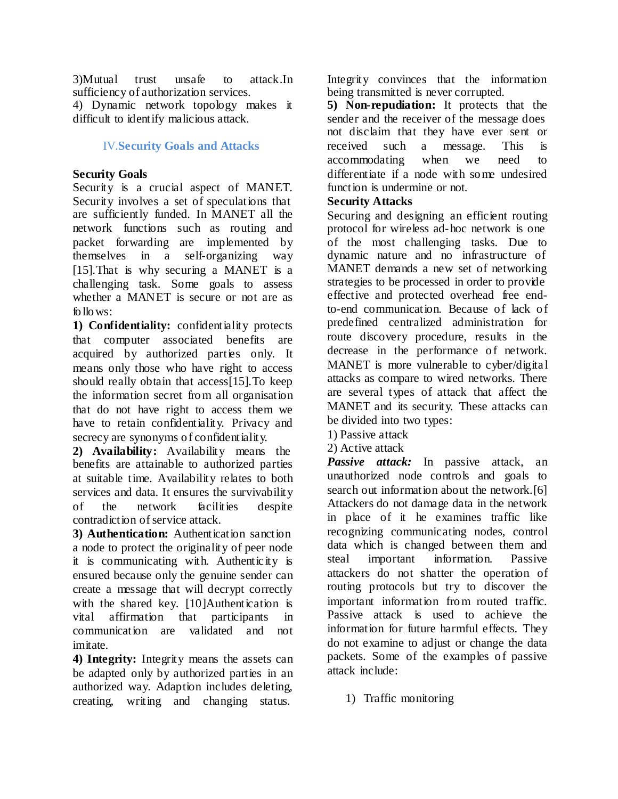3)Mutual trust unsafe to attack.In sufficiency of authorization services.

4) Dynamic network topology makes it difficult to identify malicious attack.

# IV.**Security Goals and Attacks**

# **Security Goals**

Security is a crucial aspect of MANET. Security involves a set of speculations that are sufficiently funded. In MANET all the network functions such as routing and packet forwarding are implemented by themselves in a self-organizing way [15].That is why securing a MANET is a challenging task. Some goals to assess whether a MANET is secure or not are as follows:

**1) Confidentiality:** confidentiality protects that computer associated benefits are acquired by authorized parties only. It means only those who have right to access should really obtain that access[15].To keep the information secret from all organisation that do not have right to access them we have to retain confidentiality. Privacy and secrecy are synonyms of confidentiality.

**2) Availability:** Availability means the benefits are attainable to authorized parties at suitable time. Availability relates to both services and data. It ensures the survivability of the network facilities despite contradiction of service attack.

**3) Authentication:** Authentication sanction a node to protect the originality of peer node it is communicating with. Authenticity is ensured because only the genuine sender can create a message that will decrypt correctly with the shared key. [10]Authentication is vital affirmation that participants in communication are validated and not imitate.

**4) Integrity:** Integrity means the assets can be adapted only by authorized parties in an authorized way. Adaption includes deleting, creating, writing and changing status.

Integrity convinces that the information being transmitted is never corrupted.

**5) Non-repudiation:** It protects that the sender and the receiver of the message does not disclaim that they have ever sent or received such a message. This is accommodating when we need to differentiate if a node with some undesired function is undermine or not.

# **Security Attacks**

Securing and designing an efficient routing protocol for wireless ad-hoc network is one of the most challenging tasks. Due to dynamic nature and no infrastructure of MANET demands a new set of networking strategies to be processed in order to provide effective and protected overhead free endto-end communication. Because of lack of predefined centralized administration for route discovery procedure, results in the decrease in the performance of network. MANET is more vulnerable to cyber/digital attacks as compare to wired networks. There are several types of attack that affect the MANET and its security. These attacks can be divided into two types:

- 1) Passive attack
- 2) Active attack

*Passive attack:* In passive attack, an unauthorized node controls and goals to search out information about the network.[6] Attackers do not damage data in the network in place of it he examines traffic like recognizing communicating nodes, control data which is changed between them and steal important information. Passive attackers do not shatter the operation of routing protocols but try to discover the important information from routed traffic. Passive attack is used to achieve the information for future harmful effects. They do not examine to adjust or change the data packets. Some of the examples of passive attack include:

1) Traffic monitoring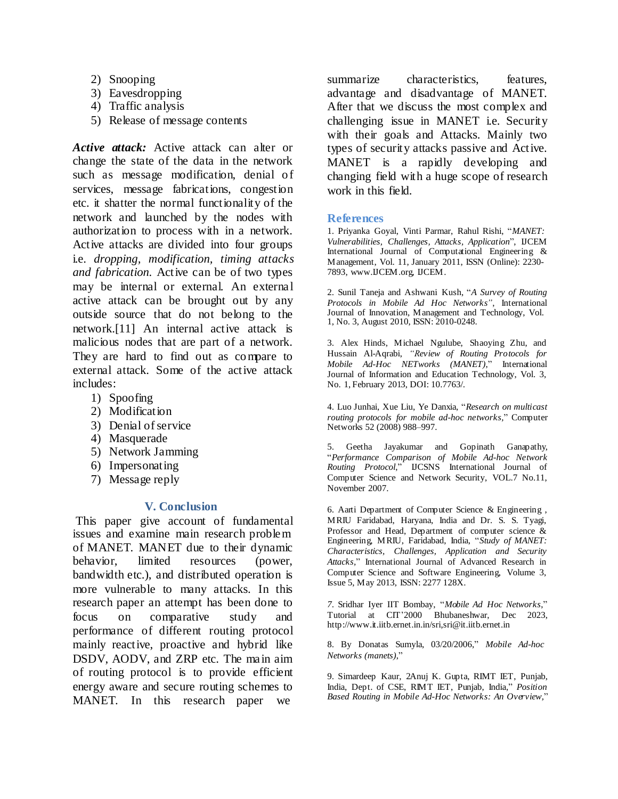- 2) Snooping
- 3) Eavesdropping
- 4) Traffic analysis
- 5) Release of message contents

*Active attack:* Active attack can alter or change the state of the data in the network such as message modification, denial of services, message fabrications, congestion etc. it shatter the normal functionality of the network and launched by the nodes with authorization to process with in a network. Active attacks are divided into four groups i.e. *dropping, modification, timing attacks and fabrication.* Active can be of two types may be internal or external. An external active attack can be brought out by any outside source that do not belong to the network.[11] An internal active attack is malicious nodes that are part of a network. They are hard to find out as compare to external attack. Some of the active attack includes:

- 1) Spoofing
- 2) Modification
- 3) Denial of service
- 4) Masquerade
- 5) Network Jamming
- 6) Impersonating
- 7) Message reply

#### **V. Conclusion**

This paper give account of fundamental issues and examine main research problem of MANET. MANET due to their dynamic behavior, limited resources (power, bandwidth etc.), and distributed operation is more vulnerable to many attacks. In this research paper an attempt has been done to focus on comparative study and performance of different routing protocol mainly reactive, proactive and hybrid like DSDV, AODV, and ZRP etc. The main aim of routing protocol is to provide efficient energy aware and secure routing schemes to MANET. In this research paper we

summarize characteristics, features, advantage and disadvantage of MANET. After that we discuss the most complex and challenging issue in MANET i.e. Security with their goals and Attacks. Mainly two types of security attacks passive and Active. MANET is a rapidly developing and changing field with a huge scope of research work in this field.

#### **References**

1. Priyanka Goyal, Vinti Parmar, Rahul Rishi, "*MANET: Vulnerabilities, Challenges, Attacks, Application*", IJCEM International Journal of Computational Engineering & Management, Vol. 11, January 2011, ISSN (Online): 2230 7893, [www.IJCEM.org](http://www.ijcem.org/), [IJCEM.](http://www.ijcem.org/)

2. Sunil Taneja and Ashwani Kush, "*A Survey of Routing Protocols in Mobile Ad Hoc Networks"*, International Journal of Innovation, Management and Technology, Vol. 1, No. 3, August 2010, ISSN: 2010-0248.

3. Alex Hinds, Michael Ngulube, Shaoying Zhu, and Hussain Al-Aqrabi, *"Review of Routing Protocols for Mobile Ad-Hoc NETworks (MANET)*," International Journal of Information and Education Technology, Vol. 3, No. 1, February 2013, DOI: 10.7763/.

4. Luo Junhai, Xue Liu, Ye Danxia, "*Research on multicast routing protocols for mobile ad-hoc networks,*" Computer Networks 52 (2008) 988–997.

5. Geetha Jayakumar and Gopinath Ganapathy, "*Performance Comparison of Mobile Ad-hoc Network Routing Protocol*," IJCSNS International Journal of Computer Science and Network Security, VOL.7 No.11, November 2007.

6. Aarti Department of Computer Science & Engineering , MRIU Faridabad, Haryana, India and Dr. S. S. Tyagi, Professor and Head, Department of computer science & Engineering, MRIU, Faridabad, India, "*Study of MANET: Characteristics, Challenges, Application and Security Attacks,*" International Journal of Advanced Research in Computer Science and Software Engineering, Volume 3, Issue 5, May 2013, ISSN: 2277 128X.

*7*. Sridhar Iyer IIT Bombay, "*Mobile Ad Hoc Networks*," Tutorial at CIT'2000 Bhubaneshwar, Dec 202[3,](http://www.it.iitb.ernet.in.in/sri) <http://www.it.iitb.ernet.in.in/sri>[,sri@it.iitb.ernet.in](mailto:sri@it.iitb.ernet.in)

8. By Donatas Sumyla, 03/20/2006," *Mobile Ad-hoc Networks (manets)*,"

9. Simardeep Kaur, 2Anuj K. Gupta, RIMT IET, Punjab, India, Dept. of CSE, RIMT IET, Punjab, India," *Position Based Routing in Mobile Ad-Hoc Networks: An Overview,*"